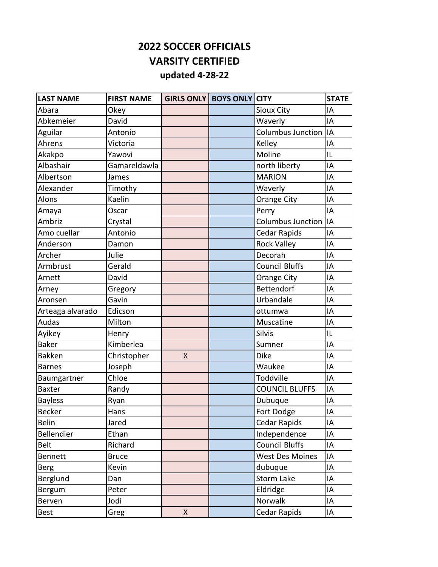## **2022 SOCCER OFFICIALS VARSITY CERTIFIED updated 4-28-22**

| <b>LAST NAME</b> | <b>FIRST NAME</b> |   | <b>GIRLS ONLY   BOYS ONLY CITY</b> |                          | <b>STATE</b> |
|------------------|-------------------|---|------------------------------------|--------------------------|--------------|
| Abara            | Okey              |   |                                    | Sioux City               | IA           |
| Abkemeier        | David             |   |                                    | Waverly                  | IA           |
| Aguilar          | Antonio           |   |                                    | <b>Columbus Junction</b> | İІА          |
| Ahrens           | Victoria          |   |                                    | Kelley                   | IA           |
| Akakpo           | Yawovi            |   |                                    | Moline                   | IL           |
| Albashair        | Gamareldawla      |   |                                    | north liberty            | IA           |
| Albertson        | James             |   |                                    | <b>MARION</b>            | IA           |
| Alexander        | Timothy           |   |                                    | Waverly                  | IA           |
| Alons            | Kaelin            |   |                                    | Orange City              | IA           |
| Amaya            | Oscar             |   |                                    | Perry                    | IA           |
| Ambriz           | Crystal           |   |                                    | <b>Columbus Junction</b> | IA           |
| Amo cuellar      | Antonio           |   |                                    | <b>Cedar Rapids</b>      | IA           |
| Anderson         | Damon             |   |                                    | <b>Rock Valley</b>       | IA           |
| Archer           | Julie             |   |                                    | Decorah                  | IA           |
| Armbrust         | Gerald            |   |                                    | <b>Council Bluffs</b>    | IA           |
| Arnett           | David             |   |                                    | <b>Orange City</b>       | IA           |
| Arney            | Gregory           |   |                                    | <b>Bettendorf</b>        | IA           |
| Aronsen          | Gavin             |   |                                    | Urbandale                | IA           |
| Arteaga alvarado | Edicson           |   |                                    | ottumwa                  | IA           |
| Audas            | Milton            |   |                                    | Muscatine                | IA           |
| Ayikey           | Henry             |   |                                    | Silvis                   | IL           |
| <b>Baker</b>     | Kimberlea         |   |                                    | Sumner                   | IA           |
| <b>Bakken</b>    | Christopher       | X |                                    | <b>Dike</b>              | IA           |
| <b>Barnes</b>    | Joseph            |   |                                    | Waukee                   | IA           |
| Baumgartner      | Chloe             |   |                                    | Toddville                | IA           |
| <b>Baxter</b>    | Randy             |   |                                    | <b>COUNCIL BLUFFS</b>    | IA           |
| <b>Bayless</b>   | Ryan              |   |                                    | Dubuque                  | IA           |
| <b>Becker</b>    | Hans              |   |                                    | Fort Dodge               | IA           |
| <b>Belin</b>     | Jared             |   |                                    | Cedar Rapids             | IA           |
| Bellendier       | Ethan             |   |                                    | Independence             | IA           |
| <b>Belt</b>      | Richard           |   |                                    | <b>Council Bluffs</b>    | IA           |
| <b>Bennett</b>   | <b>Bruce</b>      |   |                                    | <b>West Des Moines</b>   | IA           |
| <b>Berg</b>      | Kevin             |   |                                    | dubuque                  | IA           |
| Berglund         | Dan               |   |                                    | Storm Lake               | IA           |
| Bergum           | Peter             |   |                                    | Eldridge                 | IA           |
| Berven           | Jodi              |   |                                    | Norwalk                  | IA           |
| <b>Best</b>      | Greg              | X |                                    | Cedar Rapids             | IA           |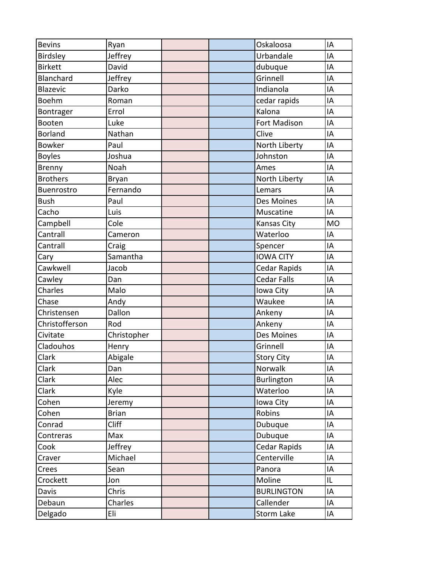| <b>Bevins</b>   | Ryan         |  | Oskaloosa           | IA        |
|-----------------|--------------|--|---------------------|-----------|
| Birdsley        | Jeffrey      |  | Urbandale           | IA        |
| <b>Birkett</b>  | David        |  | dubuque             | IA        |
| Blanchard       | Jeffrey      |  | Grinnell            | IA        |
| <b>Blazevic</b> | Darko        |  | Indianola           | IA        |
| Boehm           | Roman        |  | cedar rapids        | IA        |
| Bontrager       | Errol        |  | Kalona              | IA        |
| Booten          | Luke         |  | <b>Fort Madison</b> | IA        |
| <b>Borland</b>  | Nathan       |  | Clive               | IA        |
| <b>Bowker</b>   | Paul         |  | North Liberty       | IA        |
| <b>Boyles</b>   | Joshua       |  | Johnston            | IA        |
| Brenny          | Noah         |  | Ames                | IA        |
| <b>Brothers</b> | <b>Bryan</b> |  | North Liberty       | IA        |
| Buenrostro      | Fernando     |  | Lemars              | IA        |
| <b>Bush</b>     | Paul         |  | Des Moines          | IA        |
| Cacho           | Luis         |  | Muscatine           | IA        |
| Campbell        | Cole         |  | <b>Kansas City</b>  | <b>MO</b> |
| Cantrall        | Cameron      |  | Waterloo            | IA        |
| Cantrall        | Craig        |  | Spencer             | IA        |
| Cary            | Samantha     |  | <b>IOWA CITY</b>    | IA        |
| Cawkwell        | Jacob        |  | Cedar Rapids        | IA        |
| Cawley          | Dan          |  | <b>Cedar Falls</b>  | IA        |
| Charles         | Malo         |  | Iowa City           | IA        |
| Chase           | Andy         |  | Waukee              | IA        |
| Christensen     | Dallon       |  | Ankeny              | IA        |
| Christofferson  | Rod          |  | Ankeny              | IA        |
| Civitate        | Christopher  |  | Des Moines          | IA        |
| Cladouhos       | Henry        |  | Grinnell            | IA        |
| Clark           | Abigale      |  | Story City          | IA        |
| Clark           | Dan          |  | Norwalk             | IA        |
| Clark           | Alec         |  | <b>Burlington</b>   | IA        |
| Clark           | Kyle         |  | Waterloo            | IA        |
| Cohen           | Jeremy       |  | Iowa City           | IA        |
| Cohen           | <b>Brian</b> |  | Robins              | IA        |
| Conrad          | <b>Cliff</b> |  | Dubuque             | IA        |
| Contreras       | Max          |  | Dubuque             | IA        |
| Cook            | Jeffrey      |  | <b>Cedar Rapids</b> | IA        |
| Craver          | Michael      |  | Centerville         | IA        |
| Crees           | Sean         |  | Panora              | IA        |
| Crockett        | Jon          |  | Moline              | IL        |
| Davis           | Chris        |  | <b>BURLINGTON</b>   | IA        |
| Debaun          | Charles      |  | Callender           | IA        |
| Delgado         | Eli          |  | Storm Lake          | IA        |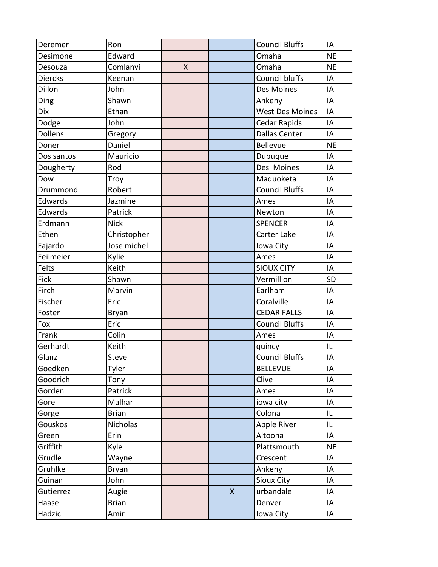| Deremer        | Ron          |   |              | <b>Council Bluffs</b>  | IA        |
|----------------|--------------|---|--------------|------------------------|-----------|
| Desimone       | Edward       |   |              | Omaha                  | <b>NE</b> |
| Desouza        | Comlanvi     | X |              | Omaha                  | <b>NE</b> |
| <b>Diercks</b> | Keenan       |   |              | <b>Council bluffs</b>  | IA        |
| Dillon         | John         |   |              | Des Moines             | IA        |
| Ding           | Shawn        |   |              | Ankeny                 | IA        |
| <b>Dix</b>     | Ethan        |   |              | <b>West Des Moines</b> | IA        |
| Dodge          | John         |   |              | <b>Cedar Rapids</b>    | IA        |
| Dollens        | Gregory      |   |              | <b>Dallas Center</b>   | IA        |
| Doner          | Daniel       |   |              | <b>Bellevue</b>        | <b>NE</b> |
| Dos santos     | Mauricio     |   |              | Dubuque                | IA        |
| Dougherty      | Rod          |   |              | Des Moines             | IA        |
| Dow            | Troy         |   |              | Maquoketa              | IA        |
| Drummond       | Robert       |   |              | <b>Council Bluffs</b>  | IA        |
| Edwards        | Jazmine      |   |              | Ames                   | IA        |
| Edwards        | Patrick      |   |              | Newton                 | IA        |
| Erdmann        | <b>Nick</b>  |   |              | <b>SPENCER</b>         | IA        |
| Ethen          | Christopher  |   |              | Carter Lake            | IA        |
| Fajardo        | Jose michel  |   |              | Iowa City              | IA        |
| Feilmeier      | Kylie        |   |              | Ames                   | IA        |
| Felts          | Keith        |   |              | <b>SIOUX CITY</b>      | IA        |
| Fick           | Shawn        |   |              | Vermillion             | <b>SD</b> |
| Firch          | Marvin       |   |              | Earlham                | IA        |
| Fischer        | Eric         |   |              | Coralville             | IA        |
| Foster         | <b>Bryan</b> |   |              | <b>CEDAR FALLS</b>     | IA        |
| Fox            | Eric         |   |              | <b>Council Bluffs</b>  | IA        |
| Frank          | Colin        |   |              | Ames                   | IA        |
| Gerhardt       | Keith        |   |              | quincy                 | IL        |
| Glanz          | Steve        |   |              | <b>Council Bluffs</b>  | IA        |
| Goedken        | Tyler        |   |              | <b>BELLEVUE</b>        | IA        |
| Goodrich       | Tony         |   |              | Clive                  | IA        |
| Gorden         | Patrick      |   |              | Ames                   | IA        |
| Gore           | Malhar       |   |              | iowa city              | IA        |
| Gorge          | <b>Brian</b> |   |              | Colona                 | IL        |
| Gouskos        | Nicholas     |   |              | Apple River            | IL        |
| Green          | Erin         |   |              | Altoona                | IA        |
| Griffith       | Kyle         |   |              | Plattsmouth            | <b>NE</b> |
| Grudle         | Wayne        |   |              | Crescent               | IA        |
| Gruhlke        | <b>Bryan</b> |   |              | Ankeny                 | IA        |
| Guinan         | John         |   |              | Sioux City             | IA        |
| Gutierrez      | Augie        |   | $\mathsf{X}$ | urbandale              | IA        |
| Haase          | <b>Brian</b> |   |              | Denver                 | IA        |
| Hadzic         | Amir         |   |              | Iowa City              | IA        |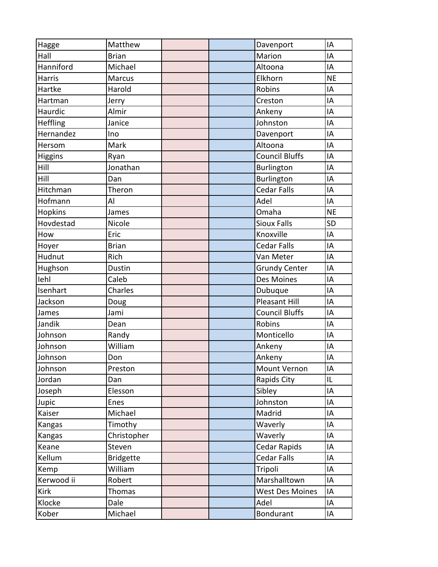| Hagge         | Matthew          | Davenport              | IA        |
|---------------|------------------|------------------------|-----------|
| Hall          | <b>Brian</b>     | Marion                 | IA        |
| Hanniford     | Michael          | Altoona                | IA        |
| <b>Harris</b> | Marcus           | Elkhorn                | <b>NE</b> |
| Hartke        | Harold           | Robins                 | IA        |
| Hartman       | Jerry            | Creston                | IA        |
| Haurdic       | Almir            | Ankeny                 | IA        |
| Heffling      | Janice           | Johnston               | IA        |
| Hernandez     | Ino              | Davenport              | IA        |
| Hersom        | Mark             | Altoona                | IA        |
| Higgins       | Ryan             | <b>Council Bluffs</b>  | IA        |
| Hill          | Jonathan         | <b>Burlington</b>      | IA        |
| Hill          | Dan              | <b>Burlington</b>      | IA        |
| Hitchman      | Theron           | <b>Cedar Falls</b>     | IA        |
| Hofmann       | Al               | Adel                   | IA        |
| Hopkins       | James            | Omaha                  | <b>NE</b> |
| Hovdestad     | Nicole           | <b>Sioux Falls</b>     | <b>SD</b> |
| How           | Eric             | Knoxville              | IA        |
| Hoyer         | <b>Brian</b>     | <b>Cedar Falls</b>     | IA        |
| Hudnut        | Rich             | Van Meter              | IA        |
| Hughson       | Dustin           | <b>Grundy Center</b>   | IA        |
| lehl          | Caleb            | Des Moines             | IA        |
| Isenhart      | Charles          | Dubuque                | IA        |
| Jackson       | Doug             | <b>Pleasant Hill</b>   | IA        |
| James         | Jami             | <b>Council Bluffs</b>  | IA        |
| Jandik        | Dean             | Robins                 | IA        |
| Johnson       | Randy            | Monticello             | IA        |
| Johnson       | William          | Ankeny                 | IA        |
| Johnson       | Don              | Ankeny                 | IA        |
| Johnson       | Preston          | Mount Vernon           | IA        |
| Jordan        | Dan              | Rapids City            | IL        |
| Joseph        | Elesson          | Sibley                 | IA        |
| Jupic         | Enes             | Johnston               | IA        |
| Kaiser        | Michael          | Madrid                 | IA        |
| Kangas        | Timothy          | Waverly                | IA        |
| Kangas        | Christopher      | Waverly                | IA        |
| Keane         | Steven           | Cedar Rapids           | IA        |
| Kellum        | <b>Bridgette</b> | <b>Cedar Falls</b>     | IA        |
| Kemp          | William          | Tripoli                | IA        |
| Kerwood ii    | Robert           | Marshalltown           | IA        |
| Kirk          | <b>Thomas</b>    | <b>West Des Moines</b> | IA        |
| Klocke        | Dale             | Adel                   | IA        |
| Kober         | Michael          | <b>Bondurant</b>       | IA        |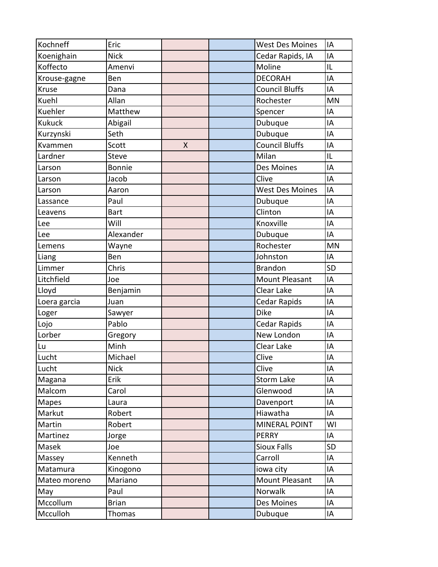| Kochneff      | Eric          |   | <b>West Des Moines</b> | IA        |
|---------------|---------------|---|------------------------|-----------|
| Koenighain    | <b>Nick</b>   |   | Cedar Rapids, IA       | IA        |
| Koffecto      | Amenvi        |   | Moline                 | IL        |
| Krouse-gagne  | Ben           |   | <b>DECORAH</b>         | IA        |
| Kruse         | Dana          |   | <b>Council Bluffs</b>  | IA        |
| Kuehl         | Allan         |   | Rochester              | <b>MN</b> |
| Kuehler       | Matthew       |   | Spencer                | IA        |
| <b>Kukuck</b> | Abigail       |   | Dubuque                | IA        |
| Kurzynski     | Seth          |   | Dubuque                | IA        |
| Kvammen       | Scott         | X | <b>Council Bluffs</b>  | IA        |
| Lardner       | Steve         |   | Milan                  | IL        |
| Larson        | <b>Bonnie</b> |   | Des Moines             | IA        |
| Larson        | Jacob         |   | Clive                  | IA        |
| Larson        | Aaron         |   | <b>West Des Moines</b> | IA        |
| Lassance      | Paul          |   | Dubuque                | IA        |
| Leavens       | <b>Bart</b>   |   | Clinton                | IA        |
| Lee           | Will          |   | Knoxville              | IA        |
| Lee           | Alexander     |   | Dubuque                | IA        |
| Lemens        | Wayne         |   | Rochester              | <b>MN</b> |
| Liang         | Ben           |   | Johnston               | IA        |
| Limmer        | Chris         |   | <b>Brandon</b>         | <b>SD</b> |
| Litchfield    | Joe           |   | <b>Mount Pleasant</b>  | IA        |
| Lloyd         | Benjamin      |   | Clear Lake             | IA        |
| Loera garcia  | Juan          |   | Cedar Rapids           | IA        |
| Loger         | Sawyer        |   | <b>Dike</b>            | IA        |
| Lojo          | Pablo         |   | <b>Cedar Rapids</b>    | IA        |
| Lorber        | Gregory       |   | New London             | IA        |
| Lu            | Minh          |   | Clear Lake             | IA        |
| Lucht         | Michael       |   | Clive                  | IA        |
| Lucht         | <b>Nick</b>   |   | Clive                  | IA        |
| Magana        | Erik          |   | Storm Lake             | IA        |
| Malcom        | Carol         |   | Glenwood               | IA        |
| Mapes         | Laura         |   | Davenport              | IA        |
| Markut        | Robert        |   | Hiawatha               | IA        |
| Martin        | Robert        |   | <b>MINERAL POINT</b>   | WI        |
| Martinez      | Jorge         |   | <b>PERRY</b>           | IA        |
| Masek         | Joe           |   | <b>Sioux Falls</b>     | <b>SD</b> |
| Massey        | Kenneth       |   | Carroll                | IA        |
| Matamura      | Kinogono      |   | iowa city              | IA        |
| Mateo moreno  | Mariano       |   | Mount Pleasant         | IA        |
| May           | Paul          |   | Norwalk                | IA        |
| Mccollum      | <b>Brian</b>  |   | Des Moines             | IA        |
| Mcculloh      | Thomas        |   | Dubuque                | IA        |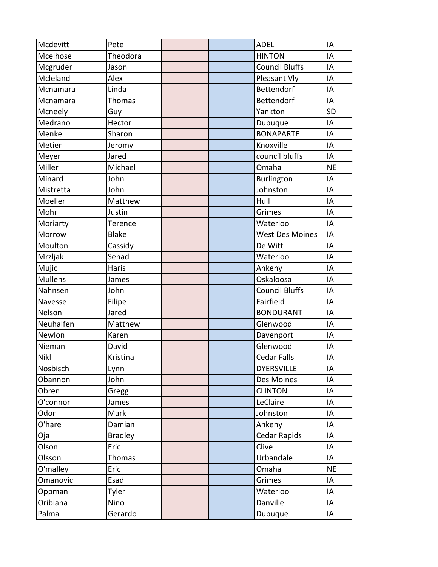| Mcdevitt       | Pete           |  | <b>ADEL</b>            | IA        |
|----------------|----------------|--|------------------------|-----------|
| Mcelhose       | Theodora       |  | <b>HINTON</b>          | IA        |
| Mcgruder       | Jason          |  | <b>Council Bluffs</b>  | IA        |
| Mcleland       | Alex           |  | Pleasant Vly           | IA        |
| Mcnamara       | Linda          |  | Bettendorf             | IA        |
| Mcnamara       | Thomas         |  | Bettendorf             | IA        |
| Mcneely        | Guy            |  | Yankton                | <b>SD</b> |
| Medrano        | Hector         |  | Dubuque                | IA        |
| Menke          | Sharon         |  | <b>BONAPARTE</b>       | IA        |
| Metier         | Jeromy         |  | Knoxville              | IA        |
| Meyer          | Jared          |  | council bluffs         | IA        |
| Miller         | Michael        |  | Omaha                  | <b>NE</b> |
| Minard         | John           |  | <b>Burlington</b>      | IA        |
| Mistretta      | John           |  | Johnston               | IA        |
| Moeller        | Matthew        |  | Hull                   | IA        |
| Mohr           | Justin         |  | Grimes                 | IA        |
| Moriarty       | Terence        |  | Waterloo               | IA        |
| Morrow         | <b>Blake</b>   |  | <b>West Des Moines</b> | IA        |
| Moulton        | Cassidy        |  | De Witt                | IA        |
| Mrzljak        | Senad          |  | Waterloo               | IA        |
| Mujic          | Haris          |  | Ankeny                 | IA        |
| <b>Mullens</b> | James          |  | Oskaloosa              | IA        |
| Nahnsen        | John           |  | <b>Council Bluffs</b>  | IA        |
| Navesse        | Filipe         |  | Fairfield              | IA        |
| Nelson         | Jared          |  | <b>BONDURANT</b>       | IA        |
| Neuhalfen      | Matthew        |  | Glenwood               | IA        |
| Newlon         | Karen          |  | Davenport              | IA        |
| Nieman         | David          |  | Glenwood               | IA        |
| <b>Nikl</b>    | Kristina       |  | <b>Cedar Falls</b>     | IA        |
| Nosbisch       | Lynn           |  | <b>DYERSVILLE</b>      | IA        |
| Obannon        | John           |  | Des Moines             | IA        |
| Obren          | Gregg          |  | <b>CLINTON</b>         | IA        |
| O'connor       | James          |  | LeClaire               | IA        |
| Odor           | Mark           |  | Johnston               | IA        |
| O'hare         | Damian         |  | Ankeny                 | IA        |
| Oja            | <b>Bradley</b> |  | <b>Cedar Rapids</b>    | IA        |
| Olson          | Eric           |  | Clive                  | IA        |
| Olsson         | Thomas         |  | Urbandale              | IA        |
| O'malley       | Eric           |  | Omaha                  | <b>NE</b> |
| Omanovic       | Esad           |  | Grimes                 | IA        |
| Oppman         | Tyler          |  | Waterloo               | IA        |
| Oribiana       | Nino           |  | Danville               | IA        |
| Palma          | Gerardo        |  | Dubuque                | IA        |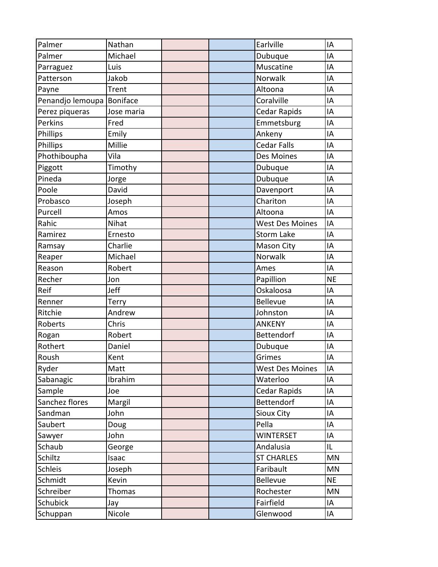| Palmer           | Nathan     |  | Earlville              | IA        |
|------------------|------------|--|------------------------|-----------|
| Palmer           | Michael    |  | Dubuque                | IA        |
| Parraguez        | Luis       |  | Muscatine              | IA        |
| Patterson        | Jakob      |  | Norwalk                | IA        |
| Payne            | Trent      |  | Altoona                | IA        |
| Penandjo lemoupa | Boniface   |  | Coralville             | IA        |
| Perez piqueras   | Jose maria |  | Cedar Rapids           | IA        |
| Perkins          | Fred       |  | Emmetsburg             | IA        |
| Phillips         | Emily      |  | Ankeny                 | IA        |
| Phillips         | Millie     |  | <b>Cedar Falls</b>     | IA        |
| Phothiboupha     | Vila       |  | Des Moines             | IA        |
| Piggott          | Timothy    |  | Dubuque                | IA        |
| Pineda           | Jorge      |  | Dubuque                | IA        |
| Poole            | David      |  | Davenport              | IA        |
| Probasco         | Joseph     |  | Chariton               | IA        |
| Purcell          | Amos       |  | Altoona                | IA        |
| Rahic            | Nihat      |  | <b>West Des Moines</b> | IA        |
| Ramirez          | Ernesto    |  | <b>Storm Lake</b>      | IA        |
| Ramsay           | Charlie    |  | Mason City             | IA        |
| Reaper           | Michael    |  | Norwalk                | IA        |
| Reason           | Robert     |  | Ames                   | IA        |
| Recher           | Jon        |  | Papillion              | <b>NE</b> |
| Reif             | Jeff       |  | Oskaloosa              | IA        |
| Renner           | Terry      |  | <b>Bellevue</b>        | IA        |
| Ritchie          | Andrew     |  | Johnston               | IA        |
| Roberts          | Chris      |  | <b>ANKENY</b>          | IA        |
| Rogan            | Robert     |  | Bettendorf             | IA        |
| Rothert          | Daniel     |  | Dubuque                | IA        |
| Roush            | Kent       |  | Grimes                 | IA        |
| Ryder            | Matt       |  | <b>West Des Moines</b> | IA        |
| Sabanagic        | Ibrahim    |  | Waterloo               | IA        |
| Sample           | Joe        |  | Cedar Rapids           | IA        |
| Sanchez flores   | Margil     |  | Bettendorf             | IA        |
| Sandman          | John       |  | Sioux City             | IA        |
| Saubert          | Doug       |  | Pella                  | IA        |
| Sawyer           | John       |  | <b>WINTERSET</b>       | IA        |
| Schaub           | George     |  | Andalusia              | IL        |
| Schiltz          | Isaac      |  | <b>ST CHARLES</b>      | MN        |
| Schleis          | Joseph     |  | Faribault              | MN        |
| Schmidt          | Kevin      |  | <b>Bellevue</b>        | <b>NE</b> |
| Schreiber        | Thomas     |  | Rochester              | MN        |
| Schubick         | Jay        |  | Fairfield              | IA        |
| Schuppan         | Nicole     |  | Glenwood               | IA        |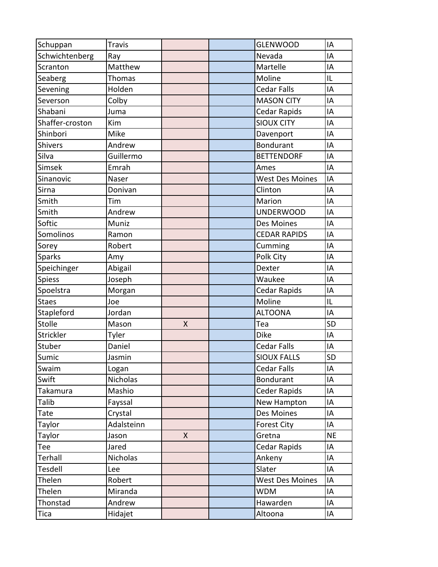| Schuppan        | <b>Travis</b> |   | <b>GLENWOOD</b>        | IA        |
|-----------------|---------------|---|------------------------|-----------|
| Schwichtenberg  | Ray           |   | Nevada                 | IA        |
| Scranton        | Matthew       |   | Martelle               | IA        |
| Seaberg         | <b>Thomas</b> |   | Moline                 | IL        |
| Sevening        | Holden        |   | <b>Cedar Falls</b>     | IA        |
| Severson        | Colby         |   | <b>MASON CITY</b>      | IA        |
| Shabani         | Juma          |   | <b>Cedar Rapids</b>    | IA        |
| Shaffer-croston | Kim           |   | <b>SIOUX CITY</b>      | IA        |
| Shinbori        | Mike          |   | Davenport              | IA        |
| Shivers         | Andrew        |   | <b>Bondurant</b>       | IA        |
| Silva           | Guillermo     |   | <b>BETTENDORF</b>      | IA        |
| Simsek          | Emrah         |   | Ames                   | IA        |
| Sinanovic       | Naser         |   | <b>West Des Moines</b> | IA        |
| Sirna           | Donivan       |   | Clinton                | IA        |
| Smith           | Tim           |   | Marion                 | IA        |
| Smith           | Andrew        |   | <b>UNDERWOOD</b>       | IA        |
| Softic          | Muniz         |   | Des Moines             | IA        |
| Somolinos       | Ramon         |   | <b>CEDAR RAPIDS</b>    | IA        |
| Sorey           | Robert        |   | Cumming                | IA        |
| <b>Sparks</b>   | Amy           |   | Polk City              | IA        |
| Speichinger     | Abigail       |   | Dexter                 | IA        |
| <b>Spiess</b>   | Joseph        |   | Waukee                 | IA        |
| Spoelstra       | Morgan        |   | <b>Cedar Rapids</b>    | IA        |
| <b>Staes</b>    | Joe           |   | Moline                 | IL        |
| Stapleford      | Jordan        |   | <b>ALTOONA</b>         | IA        |
| Stolle          | Mason         | X | Tea                    | <b>SD</b> |
| Strickler       | Tyler         |   | <b>Dike</b>            | IA        |
| Stuber          | Daniel        |   | <b>Cedar Falls</b>     | IA        |
| Sumic           | Jasmin        |   | <b>SIOUX FALLS</b>     | <b>SD</b> |
| Swaim           | Logan         |   | Cedar Falls            | IA        |
| Swift           | Nicholas      |   | <b>Bondurant</b>       | IA        |
| Takamura        | Mashio        |   | <b>Ceder Rapids</b>    | IA        |
| Talib           | Fayssal       |   | New Hampton            | IA        |
| Tate            | Crystal       |   | Des Moines             | IA        |
| Taylor          | Adalsteinn    |   | <b>Forest City</b>     | IA        |
| Taylor          | Jason         | X | Gretna                 | <b>NE</b> |
| Tee             | Jared         |   | Cedar Rapids           | IA        |
| Terhall         | Nicholas      |   | Ankeny                 | IA        |
| Tesdell         | Lee           |   | Slater                 | IA        |
| Thelen          | Robert        |   | <b>West Des Moines</b> | IA        |
| Thelen          | Miranda       |   | <b>WDM</b>             | IA        |
| Thonstad        | Andrew        |   | Hawarden               | IA        |
| Tica            | Hidajet       |   | Altoona                | IA        |